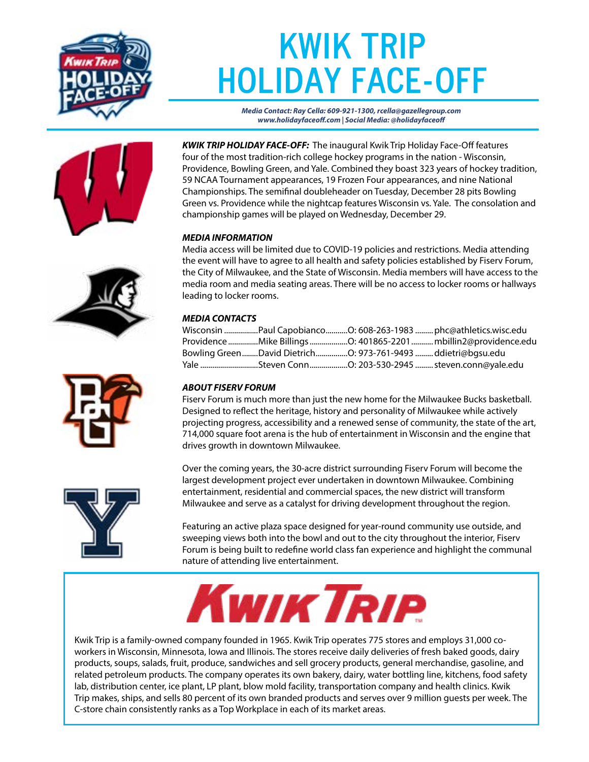

## **KWIK TRIP HOLIDAY FACE-OFF**

*Media Contact: Ray Cella: 609-921-1300, rcella@gazellegroup.com www.holidayfaceoff.com | Social Media: @holidayfaceoff*



*KWIK TRIP HOLIDAY FACE-OFF:* The inaugural Kwik Trip Holiday Face-Off features four of the most tradition-rich college hockey programs in the nation - Wisconsin, Providence, Bowling Green, and Yale. Combined they boast 323 years of hockey tradition, 59 NCAA Tournament appearances, 19 Frozen Four appearances, and nine National Championships. The semifinal doubleheader on Tuesday, December 28 pits Bowling Green vs. Providence while the nightcap features Wisconsin vs. Yale. The consolation and championship games will be played on Wednesday, December 29.

#### *MEDIA INFORMATION*

Media access will be limited due to COVID-19 policies and restrictions. Media attending the event will have to agree to all health and safety policies established by Fiserv Forum, the City of Milwaukee, and the State of Wisconsin. Media members will have access to the media room and media seating areas. There will be no access to locker rooms or hallways leading to locker rooms.

#### *MEDIA CONTACTS*

|  |                                              | Wisconsin Paul CapobiancoO: 608-263-1983  phc@athletics.wisc.edu |
|--|----------------------------------------------|------------------------------------------------------------------|
|  |                                              | ProvidenceMike BillingsO: 401865-2201 mbillin2@providence.edu    |
|  | Bowling GreenDavid Dietrich ddietri@bqsu.edu |                                                                  |
|  |                                              |                                                                  |

#### *ABOUT FISERV FORUM*

Fiserv Forum is much more than just the new home for the Milwaukee Bucks basketball. Designed to reflect the heritage, history and personality of Milwaukee while actively projecting progress, accessibility and a renewed sense of community, the state of the art, 714,000 square foot arena is the hub of entertainment in Wisconsin and the engine that drives growth in downtown Milwaukee.

Over the coming years, the 30-acre district surrounding Fiserv Forum will become the largest development project ever undertaken in downtown Milwaukee. Combining entertainment, residential and commercial spaces, the new district will transform Milwaukee and serve as a catalyst for driving development throughout the region.

Featuring an active plaza space designed for year-round community use outside, and sweeping views both into the bowl and out to the city throughout the interior, Fiserv Forum is being built to redefine world class fan experience and highlight the communal nature of attending live entertainment.



Kwik Trip is a family-owned company founded in 1965. Kwik Trip operates 775 stores and employs 31,000 coworkers in Wisconsin, Minnesota, Iowa and Illinois. The stores receive daily deliveries of fresh baked goods, dairy products, soups, salads, fruit, produce, sandwiches and sell grocery products, general merchandise, gasoline, and related petroleum products. The company operates its own bakery, dairy, water bottling line, kitchens, food safety lab, distribution center, ice plant, LP plant, blow mold facility, transportation company and health clinics. Kwik Trip makes, ships, and sells 80 percent of its own branded products and serves over 9 million guests per week. The C-store chain consistently ranks as a Top Workplace in each of its market areas.





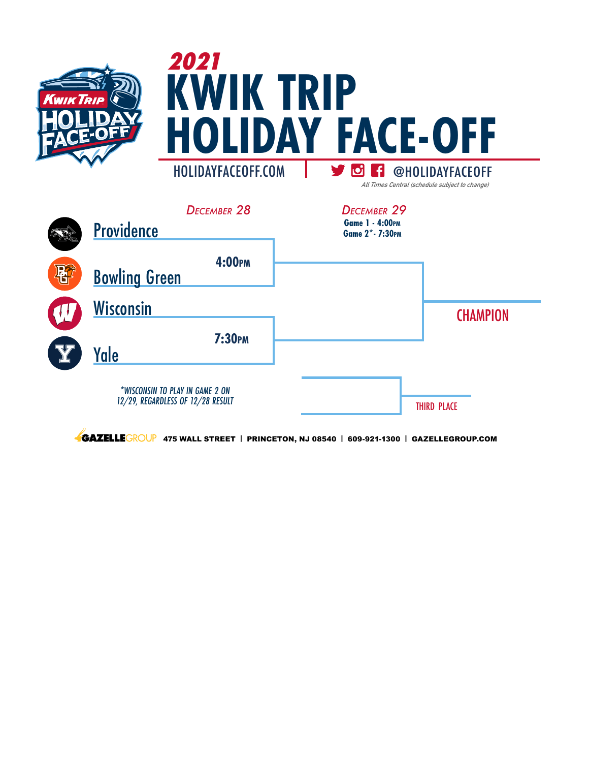

|              | DECEMBER 28<br>Providence                                            | DECEMBER 29<br><b>Game 1 - 4:00PM</b><br>Game 2* - 7:30PM |                    |
|--------------|----------------------------------------------------------------------|-----------------------------------------------------------|--------------------|
| $\mathbf{R}$ | 4:00PM<br><b>Bowling Green</b>                                       |                                                           |                    |
|              | <b>Wisconsin</b>                                                     |                                                           | <b>CHAMPION</b>    |
|              | <b>7:30PM</b><br>Yale                                                |                                                           |                    |
|              | *WISCONSIN TO PLAY IN GAME 2 ON<br>12/29, REGARDLESS OF 12/28 RESULT |                                                           | <b>THIRD PLACE</b> |

**4GAZELLE**GROUP 475 WALL STREET | PRINCETON, NJ 08540 | 609-921-1300 | GAZELLEGROUP.COM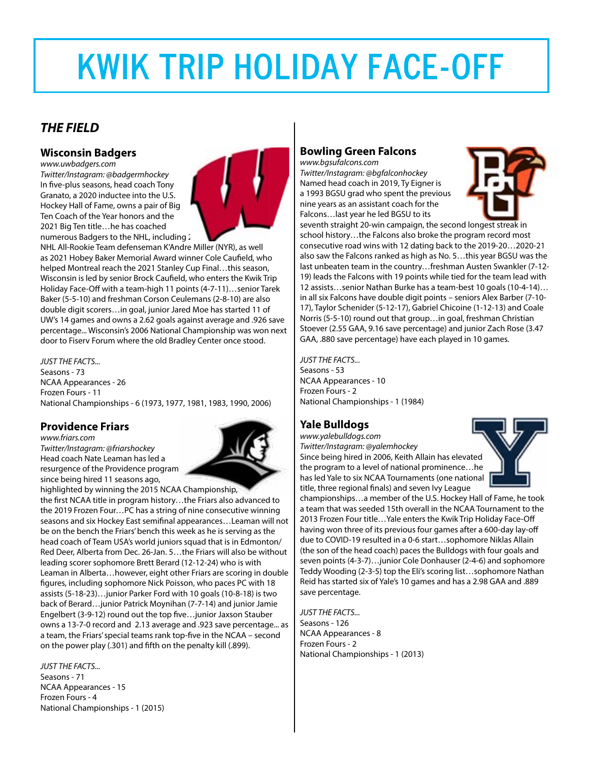# **KWIK TRIP HOLIDAY FACE-OFF**

## *THE FIELD*

### **Wisconsin Badgers**

*www.uwbadgers.com Twitter/Instagram: @badgermhockey*  In five-plus seasons, head coach Tony Granato, a 2020 inductee into the U.S. Hockey Hall of Fame, owns a pair of Big Ten Coach of the Year honors and the 2021 Big Ten title…he has coached numerous Badgers to the NHL, including 2



NHL All-Rookie Team defenseman K'Andre Miller (NYR), as well as 2021 Hobey Baker Memorial Award winner Cole Caufield, who helped Montreal reach the 2021 Stanley Cup Final…this season, Wisconsin is led by senior Brock Caufield, who enters the Kwik Trip Holiday Face-Off with a team-high 11 points (4-7-11)…senior Tarek Baker (5-5-10) and freshman Corson Ceulemans (2-8-10) are also double digit scorers…in goal, junior Jared Moe has started 11 of UW's 14 games and owns a 2.62 goals against average and .926 save percentage... Wisconsin's 2006 National Championship was won next door to Fiserv Forum where the old Bradley Center once stood.

*JUST THE FACTS...*

Seasons - 73 NCAA Appearances - 26 Frozen Fours - 11 National Championships - 6 (1973, 1977, 1981, 1983, 1990, 2006)

## **Providence Friars**

*www.friars.com Twitter/Instagram: @friarshockey* Head coach Nate Leaman has led a resurgence of the Providence program since being hired 11 seasons ago,



highlighted by winning the 2015 NCAA Championship, the first NCAA title in program history…the Friars also advanced to the 2019 Frozen Four…PC has a string of nine consecutive winning seasons and six Hockey East semifinal appearances…Leaman will not be on the bench the Friars' bench this week as he is serving as the head coach of Team USA's world juniors squad that is in Edmonton/ Red Deer, Alberta from Dec. 26-Jan. 5…the Friars will also be without leading scorer sophomore Brett Berard (12-12-24) who is with Leaman in Alberta…however, eight other Friars are scoring in double figures, including sophomore Nick Poisson, who paces PC with 18 assists (5-18-23)…junior Parker Ford with 10 goals (10-8-18) is two back of Berard…junior Patrick Moynihan (7-7-14) and junior Jamie Engelbert (3-9-12) round out the top five…junior Jaxson Stauber owns a 13-7-0 record and 2.13 average and .923 save percentage... as a team, the Friars' special teams rank top-five in the NCAA – second on the power play (.301) and fifth on the penalty kill (.899).

*JUST THE FACTS...* Seasons - 71 NCAA Appearances - 15 Frozen Fours - 4 National Championships - 1 (2015)

## **Bowling Green Falcons**

*www.bgsufalcons.com Twitter/Instagram: @bgfalconhockey* Named head coach in 2019, Ty Eigner is a 1993 BGSU grad who spent the previous nine years as an assistant coach for the Falcons…last year he led BGSU to its



seventh straight 20-win campaign, the second longest streak in school history…the Falcons also broke the program record most consecutive road wins with 12 dating back to the 2019-20…2020-21 also saw the Falcons ranked as high as No. 5…this year BGSU was the last unbeaten team in the country…freshman Austen Swankler (7-12- 19) leads the Falcons with 19 points while tied for the team lead with 12 assists…senior Nathan Burke has a team-best 10 goals (10-4-14)… in all six Falcons have double digit points – seniors Alex Barber (7-10- 17), Taylor Schenider (5-12-17), Gabriel Chicoine (1-12-13) and Coale Norris (5-5-10) round out that group…in goal, freshman Christian Stoever (2.55 GAA, 9.16 save percentage) and junior Zach Rose (3.47 GAA, .880 save percentage) have each played in 10 games.

*JUST THE FACTS...* Seasons - 53 NCAA Appearances - 10 Frozen Fours - 2 National Championships - 1 (1984)

## **Yale Bulldogs**

*www.yalebulldogs.com Twitter/Instagram: @yalemhockey* Since being hired in 2006, Keith Allain has elevated the program to a level of national prominence…he has led Yale to six NCAA Tournaments (one national title, three regional finals) and seven Ivy League



championships…a member of the U.S. Hockey Hall of Fame, he took a team that was seeded 15th overall in the NCAA Tournament to the 2013 Frozen Four title…Yale enters the Kwik Trip Holiday Face-Off having won three of its previous four games after a 600-day lay-off due to COVID-19 resulted in a 0-6 start…sophomore Niklas Allain (the son of the head coach) paces the Bulldogs with four goals and seven points (4-3-7)…junior Cole Donhauser (2-4-6) and sophomore Teddy Wooding (2-3-5) top the Eli's scoring list…sophomore Nathan Reid has started six of Yale's 10 games and has a 2.98 GAA and .889 save percentage.

*JUST THE FACTS...* Seasons - 126 NCAA Appearances - 8 Frozen Fours - 2 National Championships - 1 (2013)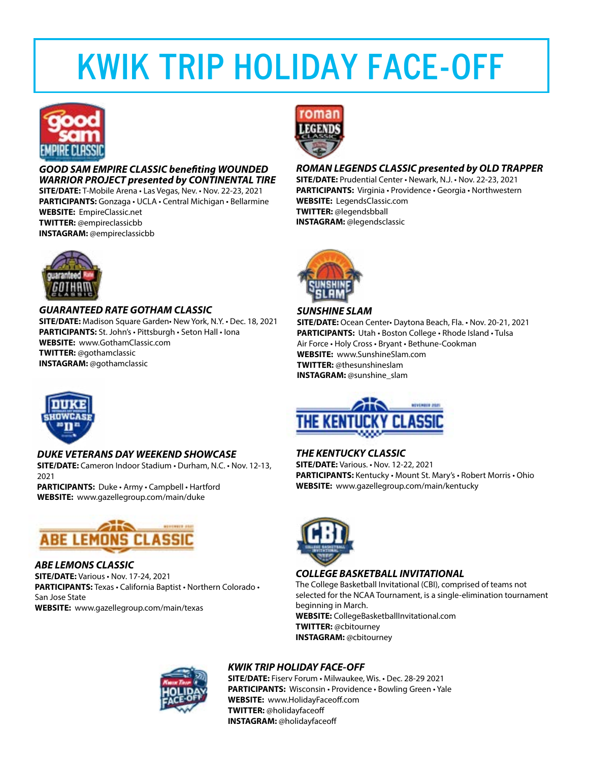## **KWIK TRIP HOLIDAY FACE-OFF**



*GOOD SAM EMPIRE CLASSIC benefiting WOUNDED WARRIOR PROJECT presented by CONTINENTAL TIRE* **SITE/DATE:** T-Mobile Arena • Las Vegas, Nev. • Nov. 22-23, 2021

**PARTICIPANTS:** Gonzaga • UCLA • Central Michigan • Bellarmine **WEBSITE:** EmpireClassic.net **TWITTER:** @empireclassicbb **INSTAGRAM:** @empireclassicbb



*GUARANTEED RATE GOTHAM CLASSIC* **SITE/DATE:** Madison Square Garden• New York, N.Y. • Dec. 18, 2021 **PARTICIPANTS:** St. John's • Pittsburgh • Seton Hall • Iona **WEBSITE:** www.GothamClassic.com **TWITTER:** @gothamclassic **INSTAGRAM:** @gothamclassic



#### *DUKE VETERANS DAY WEEKEND SHOWCASE*

**SITE/DATE:** Cameron Indoor Stadium • Durham, N.C. • Nov. 12-13, 2021

**PARTICIPANTS:** Duke • Army • Campbell • Hartford **WEBSITE:** www.gazellegroup.com/main/duke



#### *ABE LEMONS CLASSIC*

**SITE/DATE:** Various • Nov. 17-24, 2021 **PARTICIPANTS:** Texas • California Baptist • Northern Colorado • San Jose State **WEBSITE:** www.gazellegroup.com/main/texas



#### *ROMAN LEGENDS CLASSIC presented by OLD TRAPPER*

**SITE/DATE:** Prudential Center • Newark, N.J. • Nov. 22-23, 2021 **PARTICIPANTS:** Virginia • Providence • Georgia • Northwestern **WEBSITE:** LegendsClassic.com **TWITTER:** @legendsbball **INSTAGRAM:** @legendsclassic



#### *SUNSHINE SLAM*

**SITE/DATE:** Ocean Center• Daytona Beach, Fla. • Nov. 20-21, 2021 **PARTICIPANTS:** Utah • Boston College • Rhode Island • Tulsa Air Force • Holy Cross • Bryant • Bethune-Cookman **WEBSITE:** www.SunshineSlam.com **TWITTER:** @thesunshineslam **INSTAGRAM:** @sunshine\_slam



#### *THE KENTUCKY CLASSIC*

**SITE/DATE:** Various. • Nov. 12-22, 2021 **PARTICIPANTS:** Kentucky • Mount St. Mary's • Robert Morris • Ohio **WEBSITE:** www.gazellegroup.com/main/kentucky



#### *COLLEGE BASKETBALL INVITATIONAL*

The College Basketball Invitational (CBI), comprised of teams not selected for the NCAA Tournament, is a single-elimination tournament beginning in March. **WEBSITE:** CollegeBasketballInvitational.com **TWITTER:** @cbitourney **INSTAGRAM:** @cbitourney



### *KWIK TRIP HOLIDAY FACE-OFF*

**SITE/DATE:** Fiserv Forum • Milwaukee, Wis. • Dec. 28-29 2021 **PARTICIPANTS:** Wisconsin • Providence • Bowling Green • Yale **WEBSITE:** www.HolidayFaceoff.com **TWITTER:** @holidayfaceoff **INSTAGRAM:** @holidayfaceoff